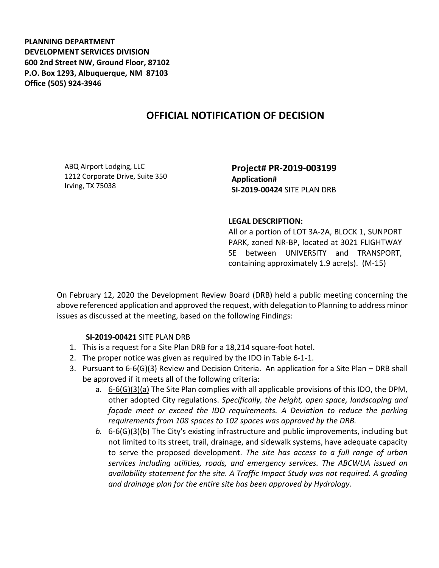**PLANNING DEPARTMENT DEVELOPMENT SERVICES DIVISION 600 2nd Street NW, Ground Floor, 87102 P.O. Box 1293, Albuquerque, NM 87103 Office (505) 924-3946** 

## **OFFICIAL NOTIFICATION OF DECISION**

ABQ Airport Lodging, LLC 1212 Corporate Drive, Suite 350 Irving, TX 75038

**Project# PR-2019-003199 Application# SI-2019-00424** SITE PLAN DRB

## **LEGAL DESCRIPTION:**

All or a portion of LOT 3A-2A, BLOCK 1, SUNPORT PARK, zoned NR-BP, located at 3021 FLIGHTWAY SE between UNIVERSITY and TRANSPORT, containing approximately 1.9 acre(s). (M-15)

On February 12, 2020 the Development Review Board (DRB) held a public meeting concerning the above referenced application and approved the request, with delegation to Planning to address minor issues as discussed at the meeting, based on the following Findings:

## **SI-2019-00421** SITE PLAN DRB

- 1. This is a request for a Site Plan DRB for a 18,214 square-foot hotel.
- 2. The proper notice was given as required by the IDO in Table 6-1-1.
- 3. Pursuant to 6-6(G)(3) Review and Decision Criteria. An application for a Site Plan DRB shall be approved if it meets all of the following criteria:
	- a. 6-6(G)(3)(a) The Site Plan complies with all applicable provisions of this IDO, the DPM, other adopted City regulations. *Specifically, the height, open space, landscaping and façade meet or exceed the IDO requirements. A Deviation to reduce the parking requirements from 108 spaces to 102 spaces was approved by the DRB.*
	- *b.* 6-6(G)(3)(b) The City's existing infrastructure and public improvements, including but not limited to its street, trail, drainage, and sidewalk systems, have adequate capacity to serve the proposed development. *The site has access to a full range of urban services including utilities, roads, and emergency services. The ABCWUA issued an availability statement for the site. A Traffic Impact Study was not required. A grading and drainage plan for the entire site has been approved by Hydrology.*